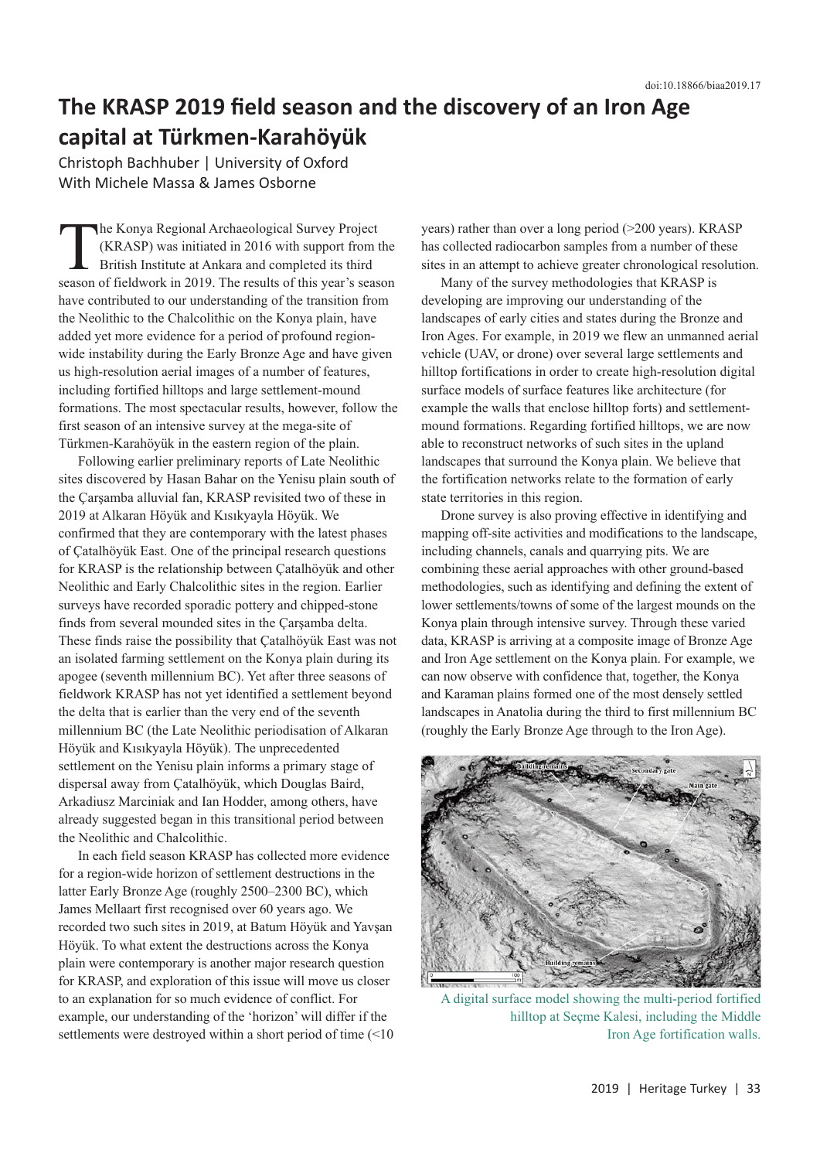## **The KRASP 2019 field season and the discovery of an Iron Age capital at Türkmen-Karahöyük**

Christoph Bachhuber | University of Oxford With Michele Massa & James Osborne

The Konya Regional Archaeological Survey Project (KRASP) was initiated in 2016 with support from the British Institute at Ankara and completed its third season of fieldwork in 2019. The results of this year's season have contributed to our understanding of the transition from the Neolithic to the Chalcolithic on the Konya plain, have added yet more evidence for a period of profound regionwide instability during the Early Bronze Age and have given us high-resolution aerial images of a number of features, including fortified hilltops and large settlement-mound formations. The most spectacular results, however, follow the first season of an intensive survey at the mega-site of Türkmen-Karahöyük in the eastern region of the plain.

Following earlier preliminary reports of Late Neolithic sites discovered by Hasan Bahar on the Yenisu plain south of the Çarşamba alluvial fan, KRASP revisited two of these in 2019 at Alkaran Höyük and Kısıkyayla Höyük. We confirmed that they are contemporary with the latest phases of Çatalhöyük East. One of the principal research questions for KRASP is the relationship between Çatalhöyük and other Neolithic and Early Chalcolithic sites in the region. Earlier surveys have recorded sporadic pottery and chipped-stone finds from several mounded sites in the Çarşamba delta. These finds raise the possibility that Çatalhöyük East was not an isolated farming settlement on the Konya plain during its apogee (seventh millennium BC). Yet after three seasons of fieldwork KRASP has not yet identified a settlement beyond the delta that is earlier than the very end of the seventh millennium BC (the Late Neolithic periodisation of Alkaran Höyük and Kısıkyayla Höyük). The unprecedented settlement on the Yenisu plain informs a primary stage of dispersal away from Çatalhöyük, which Douglas Baird, Arkadiusz Marciniak and Ian Hodder, among others, have already suggested began in this transitional period between the Neolithic and Chalcolithic.

In each field season KRASP has collected more evidence for a region-wide horizon of settlement destructions in the latter Early Bronze Age (roughly 2500–2300 BC), which James Mellaart first recognised over 60 years ago. We recorded two such sites in 2019, at Batum Höyük and Yavşan Höyük. To what extent the destructions across the Konya plain were contemporary is another major research question for KRASP, and exploration of this issue will move us closer to an explanation for so much evidence of conflict. For example, our understanding of the 'horizon' will differ if the settlements were destroyed within a short period of time (<10 years) rather than over a long period (>200 years). KRASP has collected radiocarbon samples from a number of these sites in an attempt to achieve greater chronological resolution.

Many of the survey methodologies that KRASP is developing are improving our understanding of the landscapes of early cities and states during the Bronze and Iron Ages. For example, in 2019 we flew an unmanned aerial vehicle (UAV, or drone) over several large settlements and hilltop fortifications in order to create high-resolution digital surface models of surface features like architecture (for example the walls that enclose hilltop forts) and settlementmound formations. Regarding fortified hilltops, we are now able to reconstruct networks of such sites in the upland landscapes that surround the Konya plain. We believe that the fortification networks relate to the formation of early state territories in this region.

Drone survey is also proving effective in identifying and mapping off-site activities and modifications to the landscape, including channels, canals and quarrying pits. We are combining these aerial approaches with other ground-based methodologies, such as identifying and defining the extent of lower settlements/towns of some of the largest mounds on the Konya plain through intensive survey. Through these varied data, KRASP is arriving at a composite image of Bronze Age and Iron Age settlement on the Konya plain. For example, we can now observe with confidence that, together, the Konya and Karaman plains formed one of the most densely settled landscapes in Anatolia during the third to first millennium BC (roughly the Early Bronze Age through to the Iron Age).



A digital surface model showing the multi-period fortified hilltop at Seçme Kalesi, including the Middle Iron Age fortification walls.